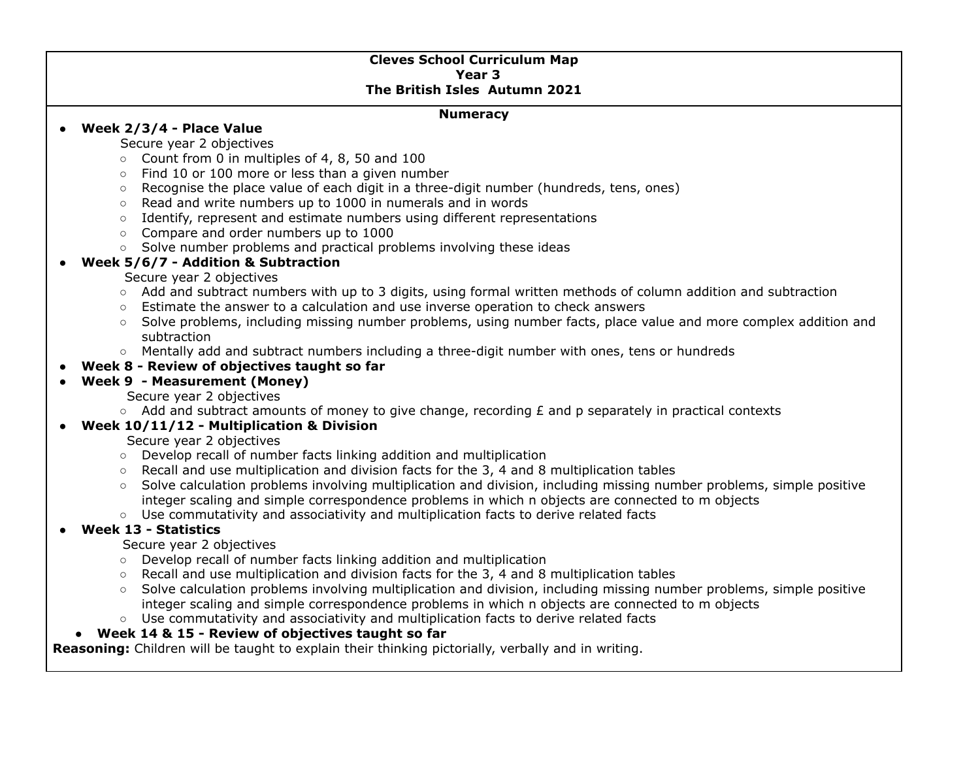### **Cleves School Curriculum Map Year 3 The British Isles Autumn 2021**

#### **Numeracy**

## ● **Week 2/3/4 - Place Value**

#### Secure year 2 objectives

- Count from 0 in multiples of 4, 8, 50 and 100
- Find 10 or 100 more or less than a given number
- Recognise the place value of each digit in a three-digit number (hundreds, tens, ones)
- Read and write numbers up to 1000 in numerals and in words
- Identify, represent and estimate numbers using different representations
- Compare and order numbers up to 1000
- Solve number problems and practical problems involving these ideas

## **● Week 5/6/7 - Addition & Subtraction**

#### Secure year 2 objectives

- Add and subtract numbers with up to 3 digits, using formal written methods of column addition and subtraction
- Estimate the answer to a calculation and use inverse operation to check answers
- Solve problems, including missing number problems, using number facts, place value and more complex addition and subtraction
- Mentally add and subtract numbers including a three-digit number with ones, tens or hundreds

# **● Week 8 - Review of objectives taught so far**

# **● Week 9 - Measurement (Money)**

### Secure year 2 objectives

 $\circ$  Add and subtract amounts of money to give change, recording  $E$  and p separately in practical contexts

### **● Week 10/11/12 - Multiplication & Division**

## Secure year 2 objectives

- Develop recall of number facts linking addition and multiplication
- Recall and use multiplication and division facts for the 3, 4 and 8 multiplication tables
- Solve calculation problems involving multiplication and division, including missing number problems, simple positive integer scaling and simple correspondence problems in which n objects are connected to m objects
- **○** Use commutativity and associativity and multiplication facts to derive related facts

# **● Week 13 - Statistics**

# Secure year 2 objectives

- Develop recall of number facts linking addition and multiplication
- Recall and use multiplication and division facts for the 3, 4 and 8 multiplication tables
- Solve calculation problems involving multiplication and division, including missing number problems, simple positive integer scaling and simple correspondence problems in which n objects are connected to m objects
- **○** Use commutativity and associativity and multiplication facts to derive related facts

# **● Week 14 & 15 - Review of objectives taught so far**

**Reasoning:** Children will be taught to explain their thinking pictorially, verbally and in writing.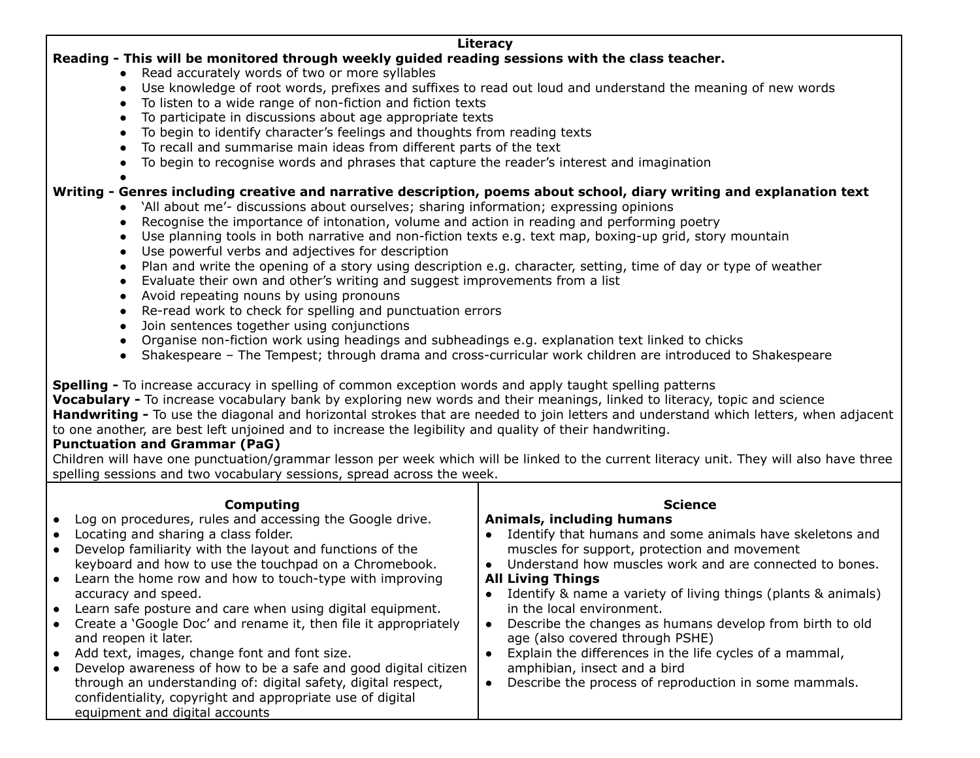#### **Literacy Reading - This will be monitored through weekly guided reading sessions with the class teacher.**

- Read accurately words of two or more syllables
- Use knowledge of root words, prefixes and suffixes to read out loud and understand the meaning of new words
- To listen to a wide range of non-fiction and fiction texts
- To participate in discussions about age appropriate texts
- To begin to identify character's feelings and thoughts from reading texts
- To recall and summarise main ideas from different parts of the text
- To begin to recognise words and phrases that capture the reader's interest and imagination
- ●

# Writing - Genres including creative and narrative description, poems about school, diary writing and explanation text

- 'All about me'- discussions about ourselves; sharing information; expressing opinions
- Recognise the importance of intonation, volume and action in reading and performing poetry
- Use planning tools in both narrative and non-fiction texts e.g. text map, boxing-up grid, story mountain
- Use powerful verbs and adjectives for description
- Plan and write the opening of a story using description e.g. character, setting, time of day or type of weather
- Evaluate their own and other's writing and suggest improvements from a list
- Avoid repeating nouns by using pronouns
- Re-read work to check for spelling and punctuation errors
- Join sentences together using conjunctions
- Organise non-fiction work using headings and subheadings e.g. explanation text linked to chicks
- Shakespeare The Tempest; through drama and cross-curricular work children are introduced to Shakespeare

**Spelling -** To increase accuracy in spelling of common exception words and apply taught spelling patterns

**Vocabulary -** To increase vocabulary bank by exploring new words and their meanings, linked to literacy, topic and science **Handwriting -** To use the diagonal and horizontal strokes that are needed to join letters and understand which letters, when adjacent to one another, are best left unjoined and to increase the legibility and quality of their handwriting.

# **Punctuation and Grammar (PaG)**

Children will have one punctuation/grammar lesson per week which will be linked to the current literacy unit. They will also have three spelling sessions and two vocabulary sessions, spread across the week.

| Computing<br>Log on procedures, rules and accessing the Google drive.<br>Locating and sharing a class folder.<br>Develop familiarity with the layout and functions of the<br>keyboard and how to use the touchpad on a Chromebook.<br>Learn the home row and how to touch-type with improving<br>accuracy and speed.<br>Learn safe posture and care when using digital equipment.<br>Create a 'Google Doc' and rename it, then file it appropriately<br>and reopen it later.<br>Add text, images, change font and font size.<br>Develop awareness of how to be a safe and good digital citizen<br>through an understanding of: digital safety, digital respect,<br>confidentiality, copyright and appropriate use of digital<br>equipment and digital accounts | <b>Science</b><br>Animals, including humans<br>Identify that humans and some animals have skeletons and<br>muscles for support, protection and movement<br>Understand how muscles work and are connected to bones.<br><b>All Living Things</b><br>Identify & name a variety of living things (plants & animals)<br>in the local environment.<br>Describe the changes as humans develop from birth to old<br>age (also covered through PSHE)<br>Explain the differences in the life cycles of a mammal,<br>amphibian, insect and a bird<br>Describe the process of reproduction in some mammals. |
|----------------------------------------------------------------------------------------------------------------------------------------------------------------------------------------------------------------------------------------------------------------------------------------------------------------------------------------------------------------------------------------------------------------------------------------------------------------------------------------------------------------------------------------------------------------------------------------------------------------------------------------------------------------------------------------------------------------------------------------------------------------|-------------------------------------------------------------------------------------------------------------------------------------------------------------------------------------------------------------------------------------------------------------------------------------------------------------------------------------------------------------------------------------------------------------------------------------------------------------------------------------------------------------------------------------------------------------------------------------------------|
|----------------------------------------------------------------------------------------------------------------------------------------------------------------------------------------------------------------------------------------------------------------------------------------------------------------------------------------------------------------------------------------------------------------------------------------------------------------------------------------------------------------------------------------------------------------------------------------------------------------------------------------------------------------------------------------------------------------------------------------------------------------|-------------------------------------------------------------------------------------------------------------------------------------------------------------------------------------------------------------------------------------------------------------------------------------------------------------------------------------------------------------------------------------------------------------------------------------------------------------------------------------------------------------------------------------------------------------------------------------------------|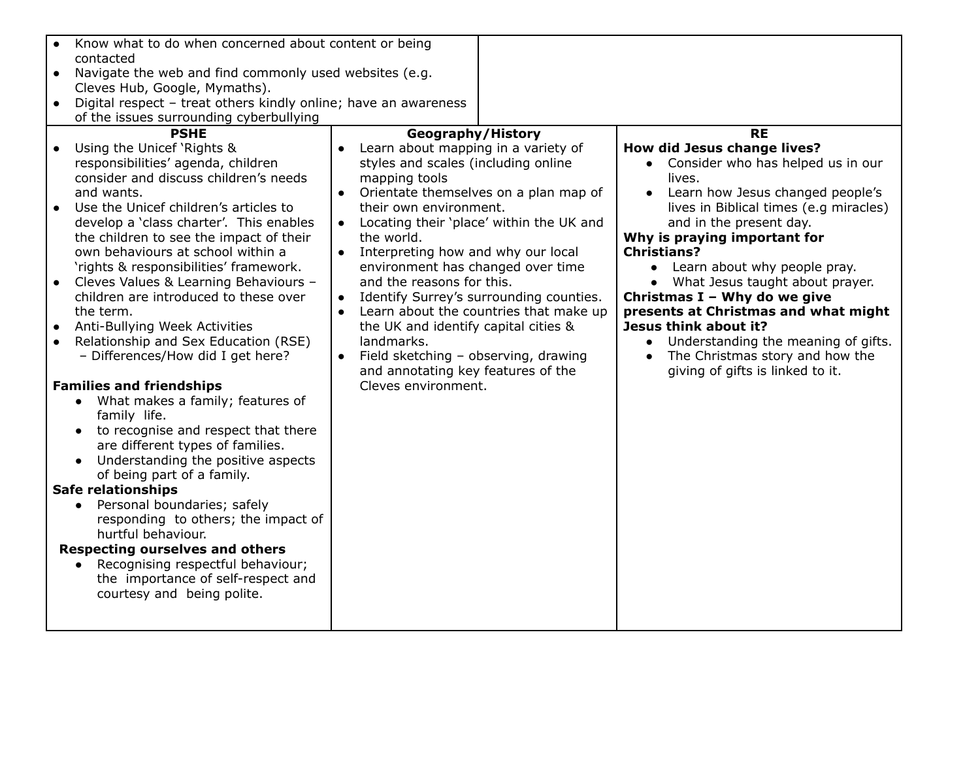| Know what to do when concerned about content or being               |                                                     |                                                  |
|---------------------------------------------------------------------|-----------------------------------------------------|--------------------------------------------------|
| contacted                                                           |                                                     |                                                  |
| Navigate the web and find commonly used websites (e.g.<br>$\bullet$ |                                                     |                                                  |
| Cleves Hub, Google, Mymaths).                                       |                                                     |                                                  |
| Digital respect - treat others kindly online; have an awareness     |                                                     |                                                  |
| of the issues surrounding cyberbullying                             |                                                     |                                                  |
| <b>PSHE</b>                                                         | Geography/History                                   | <b>RE</b>                                        |
| Using the Unicef 'Rights &<br>$\bullet$                             | Learn about mapping in a variety of<br>$\bullet$    | How did Jesus change lives?                      |
| responsibilities' agenda, children                                  | styles and scales (including online                 | • Consider who has helped us in our              |
| consider and discuss children's needs                               | mapping tools                                       | lives.                                           |
| and wants.                                                          | Orientate themselves on a plan map of<br>$\bullet$  | Learn how Jesus changed people's                 |
| Use the Unicef children's articles to<br>$\bullet$                  | their own environment.                              | lives in Biblical times (e.g miracles)           |
| develop a 'class charter'. This enables                             | Locating their 'place' within the UK and            | and in the present day.                          |
| the children to see the impact of their                             | the world.                                          | Why is praying important for                     |
| own behaviours at school within a                                   | Interpreting how and why our local<br>$\bullet$     | <b>Christians?</b>                               |
| 'rights & responsibilities' framework.                              | environment has changed over time                   | • Learn about why people pray.                   |
| Cleves Values & Learning Behaviours -<br>$\bullet$                  | and the reasons for this.                           | What Jesus taught about prayer.<br>$\bullet$     |
| children are introduced to these over                               | Identify Surrey's surrounding counties.             | Christmas I - Why do we give                     |
| the term.                                                           | Learn about the countries that make up<br>$\bullet$ | presents at Christmas and what might             |
| Anti-Bullying Week Activities<br>$\bullet$                          | the UK and identify capital cities &                | Jesus think about it?                            |
| Relationship and Sex Education (RSE)<br>$\bullet$                   | landmarks.                                          | Understanding the meaning of gifts.<br>$\bullet$ |
| - Differences/How did I get here?                                   | Field sketching - observing, drawing<br>$\bullet$   | The Christmas story and how the<br>$\bullet$     |
|                                                                     | and annotating key features of the                  | giving of gifts is linked to it.                 |
| <b>Families and friendships</b>                                     | Cleves environment.                                 |                                                  |
| What makes a family; features of<br>$\bullet$                       |                                                     |                                                  |
| family life.                                                        |                                                     |                                                  |
| to recognise and respect that there                                 |                                                     |                                                  |
| are different types of families.                                    |                                                     |                                                  |
| Understanding the positive aspects<br>$\bullet$                     |                                                     |                                                  |
| of being part of a family.                                          |                                                     |                                                  |
| <b>Safe relationships</b>                                           |                                                     |                                                  |
| Personal boundaries; safely<br>$\bullet$                            |                                                     |                                                  |
| responding to others; the impact of                                 |                                                     |                                                  |
| hurtful behaviour.                                                  |                                                     |                                                  |
| <b>Respecting ourselves and others</b>                              |                                                     |                                                  |
| Recognising respectful behaviour;<br>$\bullet$                      |                                                     |                                                  |
| the importance of self-respect and                                  |                                                     |                                                  |
| courtesy and being polite.                                          |                                                     |                                                  |
|                                                                     |                                                     |                                                  |
|                                                                     |                                                     |                                                  |